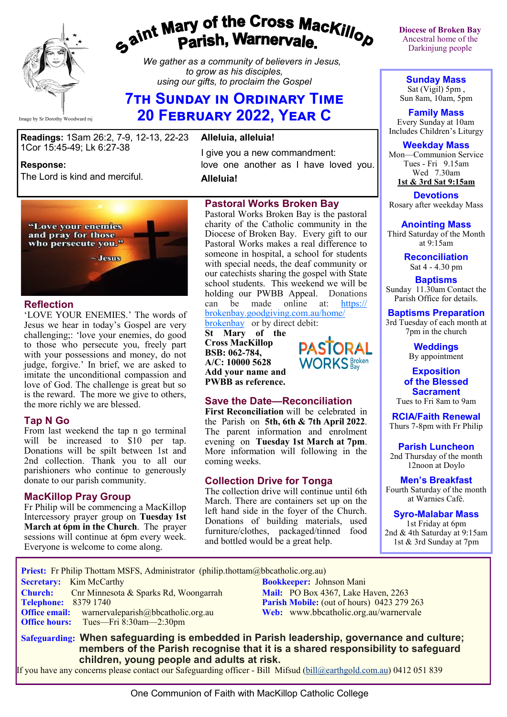

# gaint Mary of the Cross Mackillop<br>g<sup>aint</sup> Parish, Warnervale.

*We gather as a community of believers in Jesus, to grow as his disciples, using our gifts, to proclaim the Gospel*

# **7th Sunday in Ordinary Time 20 February 2022, Year C**

**Readings:** 1Sam 26:2, 7-9, 12-13, 22-23 **Alleluia, alleluia!** 1Cor 15:45-49; Lk 6:27-38

**Response:** 

The Lord is kind and merciful.

I give you a new commandment: love one another as I have loved you.

**Alleluia!**



### **Reflection**

'LOVE YOUR ENEMIES.' The words of Jesus we hear in today's Gospel are very challenging;: 'love your enemies, do good to those who persecute you, freely part with your possessions and money, do not judge, forgive.' In brief, we are asked to imitate the unconditional compassion and love of God. The challenge is great but so is the reward. The more we give to others, the more richly we are blessed.

### **Tap N Go**

From last weekend the tap n go terminal will be increased to \$10 per tap. Donations will be spilt between 1st and 2nd collection. Thank you to all our parishioners who continue to generously donate to our parish community.

### **MacKillop Pray Group**

Fr Philip will be commencing a MacKillop Intercessory prayer group on **Tuesday 1st March at 6pm in the Church**. The prayer sessions will continue at 6pm every week. Everyone is welcome to come along.

### **Pastoral Works Broken Bay**

Pastoral Works Broken Bay is the pastoral charity of the Catholic community in the Diocese of Broken Bay. Every gift to our Pastoral Works makes a real difference to someone in hospital, a school for students with special needs, the deaf community or our catechists sharing the gospel with State school students. This weekend we will be holding our PWBB Appeal. Donations can be made online at: [https://](https://brokenbay.goodgiving.com.au/home/brokenbay) [brokenbay.goodgiving.com.au/home/](https://brokenbay.goodgiving.com.au/home/brokenbay) [brokenbay](https://brokenbay.goodgiving.com.au/home/brokenbay)or by direct debit:

**St Mary of the Cross MacKillop BSB: 062-784, A/C: 10000 5628 Add your name and PWBB as reference.** 



### **Save the Date—Reconciliation**

**First Reconciliation** will be celebrated in the Parish on **5th, 6th & 7th April 2022**. The parent information and enrolment evening on **Tuesday 1st March at 7pm**. More information will following in the coming weeks.

### **Collection Drive for Tonga**

The collection drive will continue until 6th March. There are containers set up on the left hand side in the foyer of the Church. Donations of building materials, used furniture/clothes, packaged/tinned food and bottled would be a great help.

**Diocese of Broken Bay**  Ancestral home of the Darkinjung people

**Sunday Mass** Sat (Vigil) 5pm , Sun 8am, 10am, 5pm

**Family Mass**  Every Sunday at 10am Includes Children's Liturgy

**Weekday Mass** Mon—Communion Service Tues - Fri 9.15am Wed 7.30am **1st & 3rd Sat 9:15am**

**Devotions** Rosary after weekday Mass

**Anointing Mass**

Third Saturday of the Month at 9:15am

**Reconciliation** Sat 4 - 4.30 pm

**Baptisms** Sunday 11.30am Contact the Parish Office for details.

**Baptisms Preparation** 3rd Tuesday of each month at

7pm in the church

**Weddings**  By appointment

#### **Exposition of the Blessed Sacrament**

Tues to Fri 8am to 9am

**RCIA/Faith Renewal**  Thurs 7-8pm with Fr Philip

**Parish Luncheon** 2nd Thursday of the month 12noon at Doylo

**Men's Breakfast** Fourth Saturday of the month at Warnies Café.

**Syro-Malabar Mass**

1st Friday at 6pm 2nd & 4th Saturday at 9:15am 1st & 3rd Sunday at 7pm

**Priest:** Fr Philip Thottam MSFS, Administrator (philip.thottam@bbcatholic.org.au)

**Secretary:** Kim McCarthy **Bookkeeper:** Johnson Mani **Church:** Cnr Minnesota & Sparks Rd, Woongarrah **Mail: PO Box 4367, Lake Haven, 2263**<br> **Parish Mobile:** (out of hours) 0423 279 **Office email:** warnervaleparish@bbcatholic.org.au **Web:** [www.bbcatholic.org.au/warnervale](https://www.bbcatholic.org.au/warnervale) **Office hours:** Tues—Fri 8:30am—2:30pm

**Parish Mobile:** (out of hours) 0423 279 263

 **Safeguarding: When safeguarding is embedded in Parish leadership, governance and culture; members of the Parish recognise that it is a shared responsibility to safeguard children, young people and adults at risk.**

If you have any concerns please contact our Safeguarding officer - Bill Mifsud ([bill@earthgold.com.au\)](mailto:bill@earthgold.com.au) 0412 051 839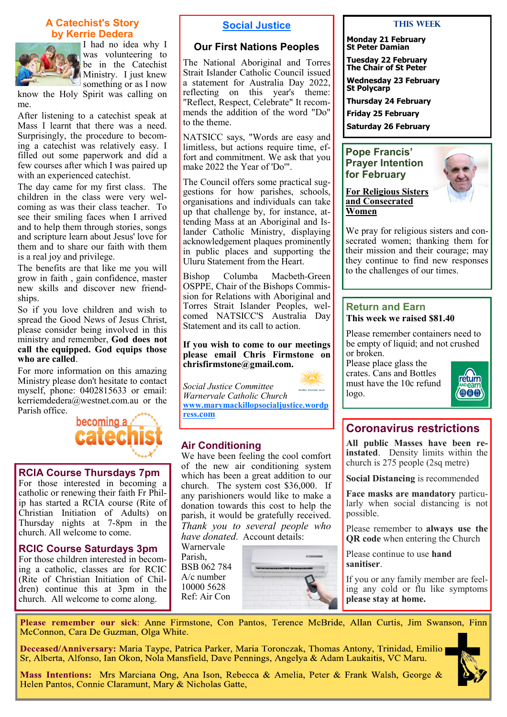### **A Catechist's Story by Kerrie Dedera**



I had no idea why I was volunteering to be in the Catechist **Ministry.** I just knew something or as I now

know the Holy Spirit was calling on me.

After listening to a catechist speak at Mass I learnt that there was a need. Surprisingly, the procedure to becoming a catechist was relatively easy. I filled out some paperwork and did a few courses after which I was paired up with an experienced catechist.

The day came for my first class. The children in the class were very welcoming as was their class teacher. To see their smiling faces when I arrived and to help them through stories, songs and scripture learn about Jesus' love for them and to share our faith with them is a real joy and privilege.

The benefits are that like me you will grow in faith , gain confidence, master new skills and discover new friendships.

So if you love children and wish to spread the Good News of Jesus Christ, please consider being involved in this ministry and remember, **God does not call the equipped. God equips those who are called**.

For more information on this amazing Ministry please don't hesitate to contact myself, phone: 0402815633 or email: kerriemdedera@westnet.com.au or the Parish office.



### **RCIA Course Thursdays 7pm**

For those interested in becoming a catholic or renewing their faith Fr Philip has started a RCIA course (Rite of Christian Initiation of Adults) on Thursday nights at 7-8pm in the church. All welcome to come.

### **RCIC Course Saturdays 3pm**

For those children interested in becoming a catholic, classes are for RCIC (Rite of Christian Initiation of Children) continue this at 3pm in the church. All welcome to come along.

### **Social Justice**

#### **Our First Nations Peoples**

The National Aboriginal and Torres Strait Islander Catholic Council issued a statement for Australia Day 2022, reflecting on this year's theme: "Reflect, Respect, Celebrate" It recommends the addition of the word "Do" to the theme.

NATSICC says, "Words are easy and limitless, but actions require time, effort and commitment. We ask that you make 2022 the Year of 'Do'".

The Council offers some practical suggestions for how parishes, schools, organisations and individuals can take up that challenge by, for instance, attending Mass at an Aboriginal and Islander Catholic Ministry, displaying acknowledgement plaques prominently in public places and supporting the Uluru Statement from the Heart.

Bishop Columba Macbeth-Green OSPPE, Chair of the Bishops Commission for Relations with Aboriginal and Torres Strait Islander Peoples, welcomed NATSICC'S Australia Day Statement and its call to action.

#### **If you wish to come to our meetings please email Chris Firmstone on chrisfirmstone@gmail.com.**



*Social Justice Committee Warnervale Catholic Church*  **[www.marymackillopsocialjustice.wordp](http://www.marymackillopsocialjustice.wordpress.com) ress[.com](http://www.marymackillopsocialjustice.wordpress.com)**

### **Air Conditioning**

We have been feeling the cool comfort of the new air conditioning system which has been a great addition to our church. The system cost \$36,000. If any parishioners would like to make a donation towards this cost to help the parish, it would be gratefully received. *Thank you to several people who have donated*. Account details:

Warnervale Parish, BSB 062 784 A/c number 10000 5628 Ref: Air Con



**This Week**

**Monday 21 February St Peter Damian**

**Tuesday 22 February The Chair of St Peter**

**Wednesday 23 February St Polycarp**

**Thursday 24 February**

**Friday 25 February**

**Saturday 26 February**

### **Pope Francis' Prayer Intention for February**



**For Religious Sisters and Consecrated Women**

We pray for religious sisters and consecrated women; thanking them for their mission and their courage; may they continue to find new responses to the challenges of our times.

#### **Return and Earn This week we raised \$81.40**

Please remember containers need to be empty of liquid; and not crushed or broken.

Please place glass the crates. Cans and Bottles must have the 10c refund logo.



### **Coronavirus restrictions**

**All public Masses have been reinstated**. Density limits within the church is 275 people (2sq metre)

**Social Distancing** is recommended

**Face masks are mandatory** particularly when social distancing is not possible.

Please remember to **always use the QR code** when entering the Church

Please continue to use **hand sanitiser**.

If you or any family member are feeling any cold or flu like symptoms **please stay at home.**

Please remember our sick: Anne Firmstone, Con Pantos, Terence McBride, Allan Curtis, Jim Swanson, Finn McConnon, Cara De Guzman, Olga White.

Deceased/Anniversary: Maria Taype, Patrica Parker, Maria Toronczak, Thomas Antony, Trinidad, Emilio Sr, Alberta, Alfonso, Ian Okon, Nola Mansfield, Dave Pennings, Angelya & Adam Laukaitis, VC Maru.

Mass Intentions: Mrs Marciana Ong, Ana Ison, Rebecca & Amelia, Peter & Frank Walsh, George & Helen Pantos, Connie Claramunt, Mary & Nicholas Gatte,

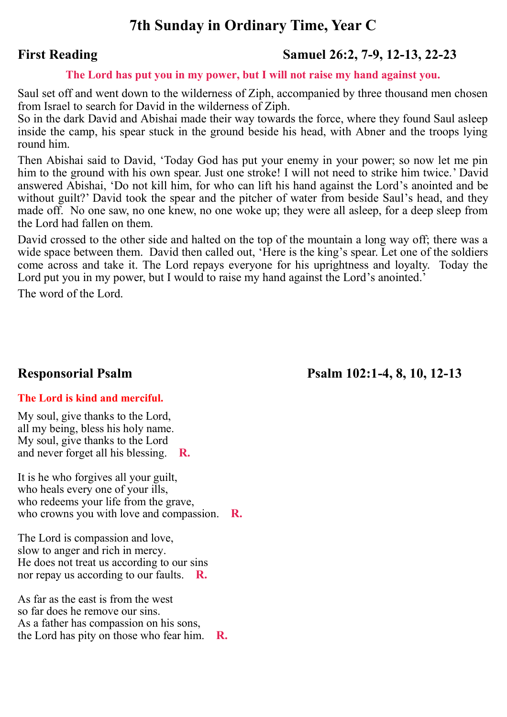# **7th Sunday in Ordinary Time, Year C**

### **First Reading Samuel 26:2, 7-9, 12-13, 22-23**

### **The Lord has put you in my power, but I will not raise my hand against you.**

Saul set off and went down to the wilderness of Ziph, accompanied by three thousand men chosen from Israel to search for David in the wilderness of Ziph.

So in the dark David and Abishai made their way towards the force, where they found Saul asleep inside the camp, his spear stuck in the ground beside his head, with Abner and the troops lying round him.

Then Abishai said to David, 'Today God has put your enemy in your power; so now let me pin him to the ground with his own spear. Just one stroke! I will not need to strike him twice.' David answered Abishai, 'Do not kill him, for who can lift his hand against the Lord's anointed and be without guilt?' David took the spear and the pitcher of water from beside Saul's head, and they made off. No one saw, no one knew, no one woke up; they were all asleep, for a deep sleep from the Lord had fallen on them.

David crossed to the other side and halted on the top of the mountain a long way off; there was a wide space between them. David then called out, 'Here is the king's spear. Let one of the soldiers come across and take it. The Lord repays everyone for his uprightness and loyalty. Today the Lord put you in my power, but I would to raise my hand against the Lord's anointed.<sup>3</sup>

The word of the Lord.

## **Responsorial Psalm Psalm 102:1-4, 8, 10, 12-13**

### **The Lord is kind and merciful.**

My soul, give thanks to the Lord, all my being, bless his holy name. My soul, give thanks to the Lord and never forget all his blessing. **R.**

It is he who forgives all your guilt, who heals every one of your ills, who redeems your life from the grave, who crowns you with love and compassion. **R.**

The Lord is compassion and love, slow to anger and rich in mercy. He does not treat us according to our sins nor repay us according to our faults. **R.**

As far as the east is from the west so far does he remove our sins. As a father has compassion on his sons, the Lord has pity on those who fear him. **R.**